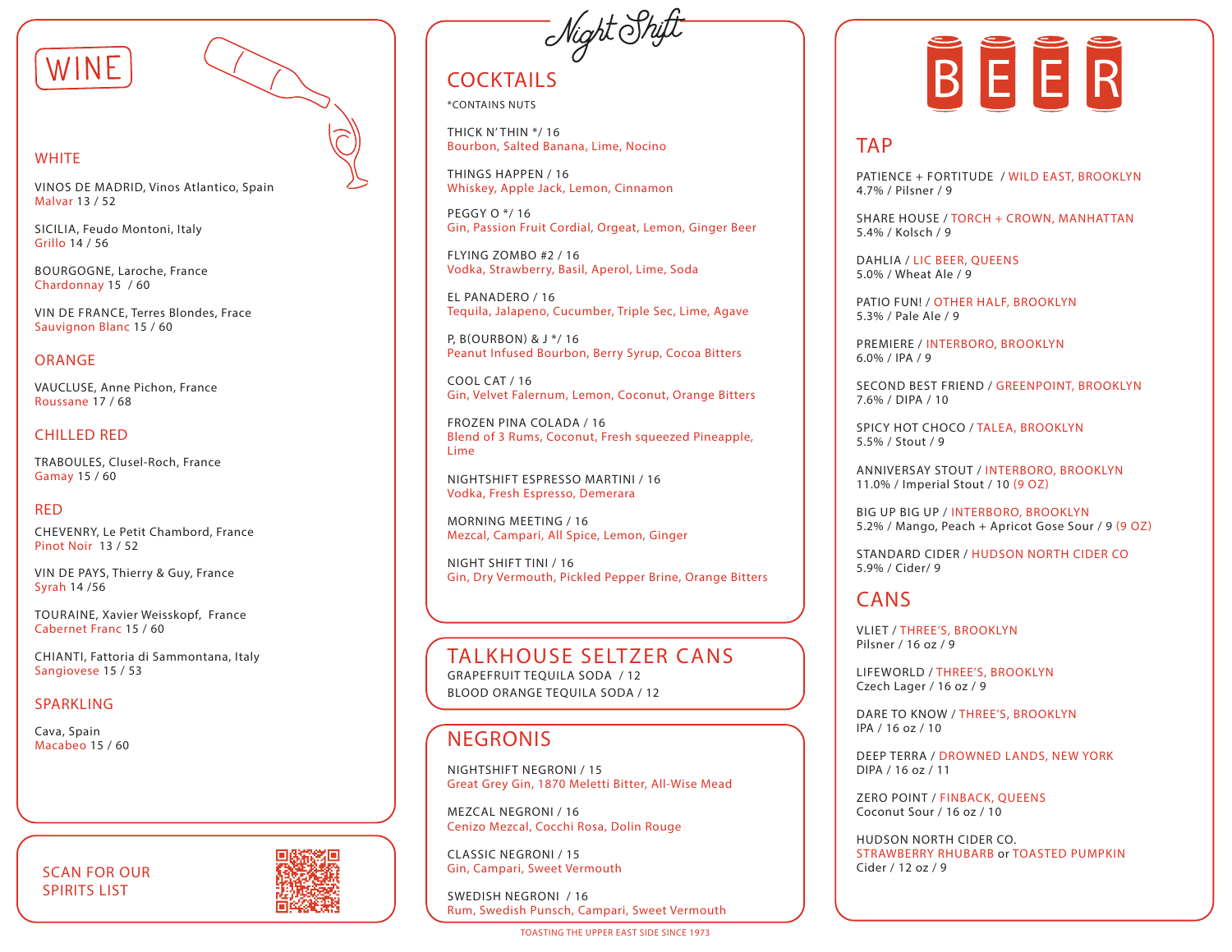

#### **WHITE**

VINOS DE MADRID, Vinos Atlantico, Spain Malvar 13 / 52

SICILIA, Feudo Montoni, Italy Grillo 14 / 56

BOURGOGNE, Laroche, France Chardonnay 15 / 60

VIN DE FRANCE, Terres Blondes, Frace Sauvignon Blanc 15 / 60

#### ORANGE

VAUCLUSE, Anne Pichon, France Roussane 17 / 68

#### CHILLED RED

TRABOULES, Clusel-Roch, France Gamay 15 / 60

#### RED

CHEVENRY, Le Petit Chambord, France Pinot Noir 13 / 52

VIN DE PAYS, Thierry & Guy, France Syrah 14 /56

TOURAINE, Xavier Weisskopf, France Cabernet Franc 15 / 60

CHIANTI, Fattoria di Sammontana, Italy Sangiovese 15 / 53

#### **SPARKLING**

Cava, Spain<br>Macabeo 15 / 60

### SCAN FOR OUR SPIRITS LIST



- Night Shift

# **COCKTAILS**

\*CONTAINS NUTS

THICK N' THIN \*/ 16 Bourbon, Salted Banana, Lime, Nocino

THINGS HAPPEN / 16 Whiskey, Apple Jack, Lemon, Cinnamon

PEGGY O \*/ 16 Gin, Passion Fruit Cordial, Orgeat, Lemon, Ginger Beer

FLYING ZOMBO #2 / 16 Vodka, Strawberry, Basil, Aperol, Lime, Soda

EL PANADERO / 16 Tequila, Jalapeno, Cucumber, Triple Sec, Lime, Agave

P, B(OURBON) & J \*/ 16 Peanut Infused Bourbon, Berry Syrup, Cocoa Bitters

COOL CAT / 16 Gin, Velvet Falernum, Lemon, Coconut, Orange Bitters

FROZEN PINA COLADA / 16 Blend of 3 Rums, Coconut, Fresh squeezed Pineapple, Lime

NIGHTSHIFT ESPRESSO MARTINI / 16 Vodka, Fresh Espresso, Demerara

MORNING MEETING / 16 Mezcal, Campari, All Spice, Lemon, Ginger

NIGHT SHIFT TINI / 16 Gin, Dry Vermouth, Pickled Pepper Brine, Orange Bitters

### TALKHOUSE SELTZER CANS

GRAPEFRUIT TEQUILA SODA / 12 BLOOD ORANGE TEQUILA SODA / 12

### **NEGRONIS**

NIGHTSHIFT NEGRONI / 15 Great Grey Gin, 1870 Meletti Bitter, All-Wise Mead

MEZCAL NEGRONI / 16 Cenizo Mezcal, Cocchi Rosa, Dolin Rouge

CLASSIC NEGRONI / 15 Gin, Campari, Sweet Vermouth

SWEDISH NEGRONI / 16 Rum, Swedish Punsch, Campari, Sweet Vermouth

TOASTING THE UPPER EAST SIDE SINCE 1973



### **TAP**

PATIENCE + FORTITUDE / WILD EAST, BROOKLYN 4.7% / Pilsner / 9

SHARE HOUSE / TORCH + CROWN, MANHATTAN 5.4% / Kolsch / 9

DAHLIA / LIC BEER, QUEENS 5.0% / Wheat Ale / 9

PATIO FUN! / OTHER HALF, BROOKLYN 5.3% / Pale Ale / 9

PREMIERE / INTERBORO, BROOKLYN 6.0% / IPA / 9

SECOND BEST FRIEND / GREENPOINT, BROOKLYN 7.6% / DIPA / 10

SPICY HOT CHOCO / TALEA, BROOKLYN 5.5% / Stout / 9

ANNIVERSAY STOUT / INTERBORO, BROOKLYN 11.0% / Imperial Stout / 10 (9 OZ)

BIG UP BIG UP / INTERBORO, BROOKLYN 5.2% / Mango, Peach + Apricot Gose Sour / 9 (9 OZ)

STANDARD CIDER / HUDSON NORTH CIDER CO 5.9% / Cider/ 9

### CANS

VLIET / THREE'S, BROOKLYN Pilsner / 16 oz / 9

LIFEWORLD / THREE'S, BROOKLYN Czech Lager / 16 oz / 9

DARE TO KNOW / THREE'S, BROOKLYN IPA / 16 oz / 10

DEEP TERRA / DROWNED LANDS, NEW YORK DIPA / 16 oz / 11

ZERO POINT / FINBACK, QUEENS Coconut Sour / 16 oz / 10

HUDSON NORTH CIDER CO. STRAWBERRY RHUBARB or TOASTED PUMPKIN<br>Cider / 12 oz / 9 TAP<br>
PATIENCE + FORTI<br>
4.7% / Pilsner / 9<br>
SHARE HOUSE / TC<br>
5.4% / Kolsch / 9<br>
DAHLIA / LIC BEEF<br>
5.0% / Wheat Ale /<br>
PATIO FUN! / OTHI<br>
5.3% / Pale Ale / 9<br>
PREMIERE / INTER<br>
6.0% / IPA / 9<br>
SECOND BEST FRII<br>
7.6% / DIPA